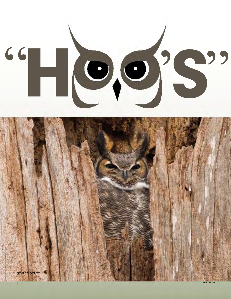"Hees"



deborah Allen 2008 dengan persekutan dan berasal dari pendang dan persekutan dan persekutan dan persekutan dan<br>Deborah Allen 2008 dengan persekutan dan persekutan dan persekutan dan persekutan dan persekutan dan persekuta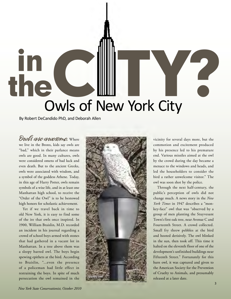## in the **Compact Search Compact Search Compact Search City** C Them York City

By Robert DeCandido PhD, and Deborah Allen

 "bad," which in their parlance means owls are good. In many cultures, owls even death. But to the ancient Greeks, Manhattan high school, to receive the "Order of the Owl" is to be bestowed Owls are awesome. Where we live in the Bronx, kids say owls are were considered omens of bad luck and owls were associated with wisdom, and a symbol of the goddess Athene. Today, in this age of Harry Potter, owls remain symbols of a wise life, and in at least one high honors for scholastic achievement.

 Yet if we travel back in time to of the ire that owls once inspired. In an incident in his journal regarding a crowd of school boys armed with stones that had gathered in a vacant lot in Manhattan. In a tree above them was a sleepy barred owl. The boys begin to Braislin, "...even the presence of a policeman had little effect in restraining the boys. In spite of much persecution the owl remained in the old New York, it is easy to find some 1900, William Braislin, M.D. recorded spewing epithets at the bird. According



 commotion and excitement produced by his presence led to his premature end. Various missiles aimed at the owl by the crowd during the day became a menace to the windows and heads, and led the householders to consider the owl was soon shot by the police. vicinity for several days more, but the bird a rather unwelcome visitor." The

 Through the next half-century, the public's perception of owls did not key-face" owl that was "observed by a group of men planting the Stuyvesant Fourteenth Street. A crowd collected. Small fry threw pebbles at the bird in the sun, then took off. This time it Fifteenth Street." Fortunately for this change much. A news story in the *New York Times* in 1947 describes a "mon-Town's first oak tree, near Avenue C and and hooted derisively. The owl blinked halted on the eleventh floor of one of the development's unfinished buildings near barn owl, it was captured and given to the American Society for the Prevention of Cruelty to Animals, and presumably released at a later date.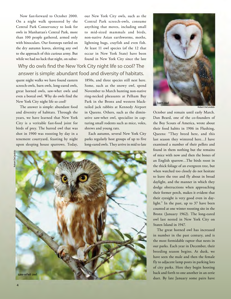Now fast-forward to October 2000. On a night walk sponsored by the Central Park Conservancy to look for than 100 people gathered, armed only owls in Manhattan's Central Park, more with binoculars. Our footsteps rattled on the dry autumn leaves, alerting any owl to the approach of this curious army. But while we had no luck that night, on subse-

 our New York City owls, such as the Central Park screech-owls, consume anything that moves, including small to mid-sized mammals and birds, non-native Asian earthworms, moths, lightning bugs, crayfish and even fish. At least 11 owl species (of the 12 that occur in New York State) have been found in New York City since the late

## Why do owls fnd the New York City night life so cool? The answer is simple: abundant food and diversity of habitats.

 great horned owls, saw-whet owls and quent night walks we have found eastern screech-owls, barn owls, long-eared owls, even a boreal owl. Why do owls find the New York City night life so cool?

 The answer is simple: abundant food and diversity of habitats. Through the years, we have learned that New York birds of prey. The barred owl that was shot in 1900 was roosting by day in a upon sleeping house sparrows. Today, City is a veritable fast-food joint for tenement courtyard, feasting by night

 1850s, and three species still nest here. November to March hunting non-native ring-necked pheasants at Pelham Bay tailed jack rabbits at Kennedy Airport turing small rodents such as mice, voles, Some, such as the snowy owl, spend Park in the Bronx and western blackin Queens. Others, such as the diminutive saw-whet owl, specialize in capshrews and young rats.

Each autumn, several New York City parks regularly host groups of up to five long-eared owls. They arrive in mid to late





Robert DeCandido

 October and remain until early March. Dan Beard, one of the co-founders of their food habits in 1906 in Flushing, Queens: "They breed here, and this last season they wintered here…I have examined a number of their pellets and an English sparrow…The birds roost in dodge obstructions when approaching their eyesight is very good even in day- light." In the past, up to 37 have been Bronx (January 1962). The long-eared owl last nested in New York City on the Boy Scouts of America, wrote about found in them nothing but the remains of mice with now and then the bones of the thick foliage of an evergreen tree, but when watched too closely do not hesitate to leave the tree and fly about in broad daylight, and the manner in which they their former perch, makes it evident that counted at one winter roosting site in the Staten Island in 1947.

 in number in the past century, and is the most formidable raptor that nests in breeding season begins. At dusk, we have seen the male and then the female of city parks. Here they begin hooting back and forth to one another in an eerie The great horned owl has increased our parks. Each year in December, their fly to adjacent lamp posts in parking lots duet. By late January some pairs have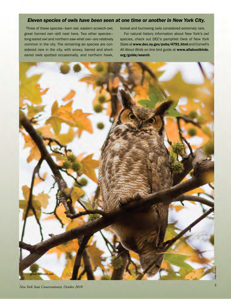## *Eleven species of owls have been seen at one time or another in New York City.*

 Three of these species—barn owl, eastern screech-owl, long-eared owl and northern saw-whet owl—are relatively eared owls spotted occasionally, and northern hawk, great horned owl—still nest here. Two other species common in the city. The remaining six species are considered rare in the city, with snowy, barred and shortboreal and burrowing owls considered extremely rare.

 For natural history information about New York's owl  species, check out DEC's pamphlet *Owls of New York State* at <www.dec.ny.gov/pubs/4791.html> and Cornell's *All About Birds* on-line bird guide at <www.allaboutbirds>. org/guide/search.

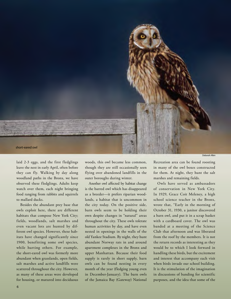

Deborah Allen

 leave the nest in early April, often before they can fly. Walking by day along woodland paths in the Bronx, we have observed these fledglings. Adults keep watch over them, each night bringing laid 2-3 eggs, and the first fledglings food ranging from rabbits and squirrels to mallard ducks.

 Besides the abundant prey base that owls exploit here, there are different habitats that compose New York City; fields, woodlands, salt marshes and ferent owl species. However, these hab- 1900, benefitting some owl species, while hurting others. For example, the short-eared owl was formerly more abundant when grasslands, open fields, scattered throughout the city. However, as many of these areas were developed even vacant lots are hunted by difitats have changed significantly since salt marshes and active landfills were for housing, or matured into deciduous

 woods, this owl became less common, though they are still occasionally seen outer boroughs during winter. flying over abandoned landfills in the

 lands, a habitat that is uncommon in own despite changes in "natural" areas throughout the city. These owls tolerate human activities by day, and have even nested in openings in the walls of the apartment complexes in the Bronx and upper Manhattan. Because their food supply is rarely in short supply, barn owls can be found nesting in every month of the year (fledging young even in December-January). The barn owls Another owl affected by habitat change is the barred owl which has disappeared as a breeder—it prefers riparian woodthe city today. On the positive side, barn owls seem to be holding their old Yankee Stadium. By night, they hunt abundant Norway rats in and around of the Jamaica Bay (Gateway) National

 in many of the owl boxes constructed for them. At night, they hunt the salt marshes and remaining fields. Recreation area can be found roosting

 Owls have served as ambassadors of conservation in New York City. In 1929, Grace Coit Meleney, a high school science teacher in the Bronx, wrote that, "Early in the morning of a barn owl, and put it in a scrap basket with a cardboard cover. The owl was banded at a meeting of the Science Club that afternoon and was liberated from the roof by the members. It is not the return records as interesting as they would be to which I look forward in handling these birds, but the excitement when birds invade our school building. It is the stimulation of the imagination in discussions of banding for scientific purposes, and the idea that some of the October 31, 1930, a janitor discovered and interest that accompany each visit